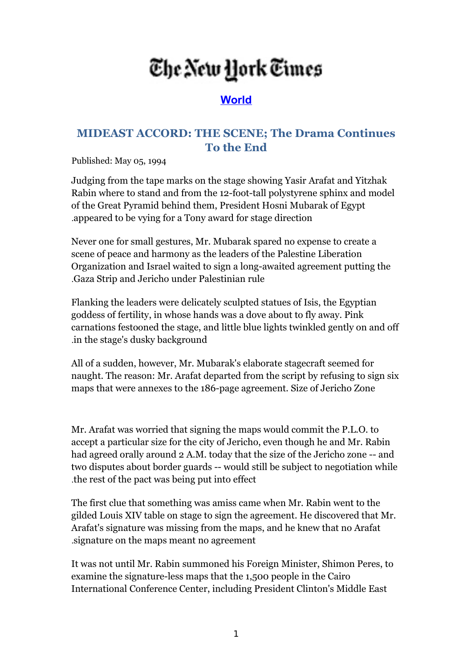## The New York Times

## **[World](http://www.nytimes.com/pages/world/index.html)**

## **MIDEAST ACCORD: THE SCENE; The Drama Continues To the End**

Published: May 05, 1994

Judging from the tape marks on the stage showing Yasir Arafat and Yitzhak Rabin where to stand and from the 12-foot-tall polystyrene sphinx and model of the Great Pyramid behind them, President Hosni Mubarak of Egypt .appeared to be vying for a Tony award for stage direction

Never one for small gestures, Mr. Mubarak spared no expense to create a scene of peace and harmony as the leaders of the Palestine Liberation Organization and Israel waited to sign a long-awaited agreement putting the .Gaza Strip and Jericho under Palestinian rule

Flanking the leaders were delicately sculpted statues of Isis, the Egyptian goddess of fertility, in whose hands was a dove about to fly away. Pink carnations festooned the stage, and little blue lights twinkled gently on and off .in the stage's dusky background

All of a sudden, however, Mr. Mubarak's elaborate stagecraft seemed for naught. The reason: Mr. Arafat departed from the script by refusing to sign six maps that were annexes to the 186-page agreement. Size of Jericho Zone

Mr. Arafat was worried that signing the maps would commit the P.L.O. to accept a particular size for the city of Jericho, even though he and Mr. Rabin had agreed orally around 2 A.M. today that the size of the Jericho zone -- and two disputes about border guards -- would still be subject to negotiation while .the rest of the pact was being put into effect

The first clue that something was amiss came when Mr. Rabin went to the gilded Louis XIV table on stage to sign the agreement. He discovered that Mr. Arafat's signature was missing from the maps, and he knew that no Arafat .signature on the maps meant no agreement

It was not until Mr. Rabin summoned his Foreign Minister, Shimon Peres, to examine the signature-less maps that the 1,500 people in the Cairo International Conference Center, including President Clinton's Middle East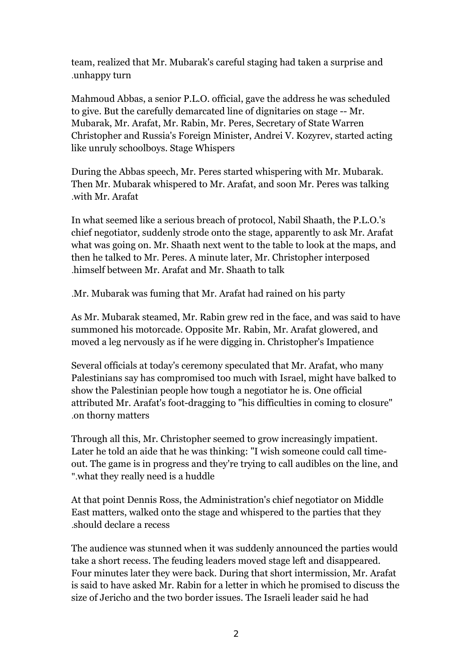team, realized that Mr. Mubarak's careful staging had taken a surprise and .unhappy turn

Mahmoud Abbas, a senior P.L.O. official, gave the address he was scheduled to give. But the carefully demarcated line of dignitaries on stage -- Mr. Mubarak, Mr. Arafat, Mr. Rabin, Mr. Peres, Secretary of State Warren Christopher and Russia's Foreign Minister, Andrei V. Kozyrev, started acting like unruly schoolboys. Stage Whispers

During the Abbas speech, Mr. Peres started whispering with Mr. Mubarak. Then Mr. Mubarak whispered to Mr. Arafat, and soon Mr. Peres was talking .with Mr. Arafat

In what seemed like a serious breach of protocol, Nabil Shaath, the P.L.O.'s chief negotiator, suddenly strode onto the stage, apparently to ask Mr. Arafat what was going on. Mr. Shaath next went to the table to look at the maps, and then he talked to Mr. Peres. A minute later, Mr. Christopher interposed .himself between Mr. Arafat and Mr. Shaath to talk

.Mr. Mubarak was fuming that Mr. Arafat had rained on his party

As Mr. Mubarak steamed, Mr. Rabin grew red in the face, and was said to have summoned his motorcade. Opposite Mr. Rabin, Mr. Arafat glowered, and moved a leg nervously as if he were digging in. Christopher's Impatience

Several officials at today's ceremony speculated that Mr. Arafat, who many Palestinians say has compromised too much with Israel, might have balked to show the Palestinian people how tough a negotiator he is. One official attributed Mr. Arafat's foot-dragging to "his difficulties in coming to closure" .on thorny matters

Through all this, Mr. Christopher seemed to grow increasingly impatient. Later he told an aide that he was thinking: "I wish someone could call timeout. The game is in progress and they're trying to call audibles on the line, and ".what they really need is a huddle

At that point Dennis Ross, the Administration's chief negotiator on Middle East matters, walked onto the stage and whispered to the parties that they .should declare a recess

The audience was stunned when it was suddenly announced the parties would take a short recess. The feuding leaders moved stage left and disappeared. Four minutes later they were back. During that short intermission, Mr. Arafat is said to have asked Mr. Rabin for a letter in which he promised to discuss the size of Jericho and the two border issues. The Israeli leader said he had